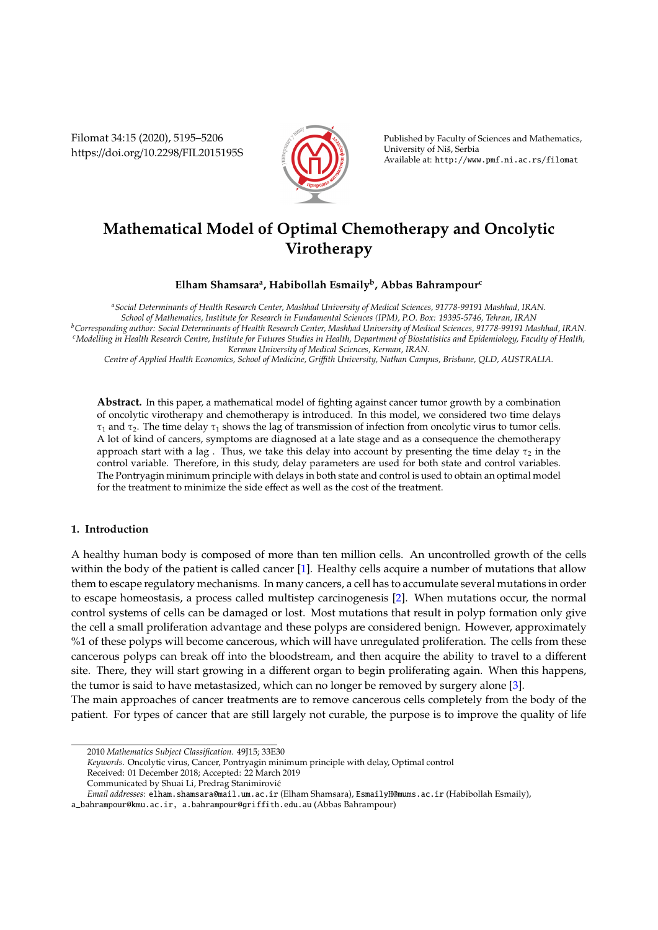Filomat 34:15 (2020), 5195–5206 https://doi.org/10.2298/FIL2015195S



Published by Faculty of Sciences and Mathematics, University of Niš, Serbia Available at: http://www.pmf.ni.ac.rs/filomat

# **Mathematical Model of Optimal Chemotherapy and Oncolytic Virotherapy**

## **Elham Shamsara<sup>a</sup> , Habibollah Esmaily<sup>b</sup> , Abbas Bahrampour<sup>c</sup>**

*<sup>a</sup>Social Determinants of Health Research Center, Mashhad University of Medical Sciences, 91778-99191 Mashhad, IRAN. School of Mathematics, Institute for Research in Fundamental Sciences (IPM), P.O. Box: 19395-5746, Tehran, IRAN <sup>b</sup>Corresponding author: Social Determinants of Health Research Center, Mashhad University of Medical Sciences, 91778-99191 Mashhad, IRAN. <sup>c</sup>Modelling in Health Research Centre, Institute for Futures Studies in Health, Department of Biostatistics and Epidemiology, Faculty of Health, Kerman University of Medical Sciences, Kerman, IRAN.*

*Centre of Applied Health Economics, School of Medicine, Gri*ffi*th University, Nathan Campus, Brisbane, QLD, AUSTRALIA.*

**Abstract.** In this paper, a mathematical model of fighting against cancer tumor growth by a combination of oncolytic virotherapy and chemotherapy is introduced. In this model, we considered two time delays  $\tau_1$  and  $\tau_2$ . The time delay  $\tau_1$  shows the lag of transmission of infection from oncolytic virus to tumor cells. A lot of kind of cancers, symptoms are diagnosed at a late stage and as a consequence the chemotherapy approach start with a lag . Thus, we take this delay into account by presenting the time delay  $\tau_2$  in the control variable. Therefore, in this study, delay parameters are used for both state and control variables. The Pontryagin minimum principle with delays in both state and control is used to obtain an optimal model for the treatment to minimize the side effect as well as the cost of the treatment.

## **1. Introduction**

A healthy human body is composed of more than ten million cells. An uncontrolled growth of the cells within the body of the patient is called cancer [\[1\]](#page-11-0). Healthy cells acquire a number of mutations that allow them to escape regulatory mechanisms. In many cancers, a cell has to accumulate several mutations in order to escape homeostasis, a process called multistep carcinogenesis [\[2\]](#page-11-1). When mutations occur, the normal control systems of cells can be damaged or lost. Most mutations that result in polyp formation only give the cell a small proliferation advantage and these polyps are considered benign. However, approximately %1 of these polyps will become cancerous, which will have unregulated proliferation. The cells from these cancerous polyps can break off into the bloodstream, and then acquire the ability to travel to a different site. There, they will start growing in a different organ to begin proliferating again. When this happens, the tumor is said to have metastasized, which can no longer be removed by surgery alone [\[3\]](#page-11-2).

The main approaches of cancer treatments are to remove cancerous cells completely from the body of the patient. For types of cancer that are still largely not curable, the purpose is to improve the quality of life

Received: 01 December 2018; Accepted: 22 March 2019

<sup>2010</sup> *Mathematics Subject Classification*. 49J15; 33E30

*Keywords*. Oncolytic virus, Cancer, Pontryagin minimum principle with delay, Optimal control

Communicated by Shuai Li, Predrag Stanimirovic´

*Email addresses:* elham.shamsara@mail.um.ac.ir (Elham Shamsara), EsmailyH@mums.ac.ir (Habibollah Esmaily),

a\_bahrampour@kmu.ac.ir, a.bahrampour@griffith.edu.au (Abbas Bahrampour)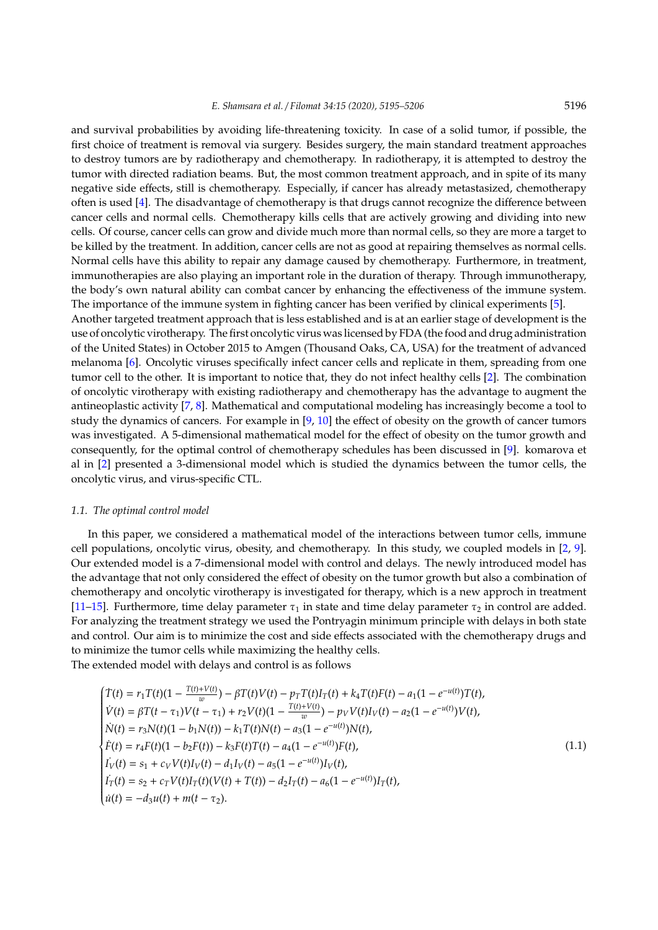and survival probabilities by avoiding life-threatening toxicity. In case of a solid tumor, if possible, the first choice of treatment is removal via surgery. Besides surgery, the main standard treatment approaches to destroy tumors are by radiotherapy and chemotherapy. In radiotherapy, it is attempted to destroy the tumor with directed radiation beams. But, the most common treatment approach, and in spite of its many negative side effects, still is chemotherapy. Especially, if cancer has already metastasized, chemotherapy often is used [\[4\]](#page-11-3). The disadvantage of chemotherapy is that drugs cannot recognize the difference between cancer cells and normal cells. Chemotherapy kills cells that are actively growing and dividing into new cells. Of course, cancer cells can grow and divide much more than normal cells, so they are more a target to be killed by the treatment. In addition, cancer cells are not as good at repairing themselves as normal cells. Normal cells have this ability to repair any damage caused by chemotherapy. Furthermore, in treatment, immunotherapies are also playing an important role in the duration of therapy. Through immunotherapy, the body's own natural ability can combat cancer by enhancing the effectiveness of the immune system. The importance of the immune system in fighting cancer has been verified by clinical experiments [\[5\]](#page-11-4). Another targeted treatment approach that is less established and is at an earlier stage of development is the

use of oncolytic virotherapy. The first oncolytic virus was licensed by FDA (the food and drug administration of the United States) in October 2015 to Amgen (Thousand Oaks, CA, USA) for the treatment of advanced melanoma [\[6\]](#page-11-5). Oncolytic viruses specifically infect cancer cells and replicate in them, spreading from one tumor cell to the other. It is important to notice that, they do not infect healthy cells [\[2\]](#page-11-1). The combination of oncolytic virotherapy with existing radiotherapy and chemotherapy has the advantage to augment the antineoplastic activity [\[7,](#page-11-6) [8\]](#page-11-7). Mathematical and computational modeling has increasingly become a tool to study the dynamics of cancers. For example in [\[9,](#page-11-8) [10\]](#page-11-9) the effect of obesity on the growth of cancer tumors was investigated. A 5-dimensional mathematical model for the effect of obesity on the tumor growth and consequently, for the optimal control of chemotherapy schedules has been discussed in [\[9\]](#page-11-8). komarova et al in [\[2\]](#page-11-1) presented a 3-dimensional model which is studied the dynamics between the tumor cells, the oncolytic virus, and virus-specific CTL.

#### *1.1. The optimal control model*

In this paper, we considered a mathematical model of the interactions between tumor cells, immune cell populations, oncolytic virus, obesity, and chemotherapy. In this study, we coupled models in [\[2,](#page-11-1) [9\]](#page-11-8). Our extended model is a 7-dimensional model with control and delays. The newly introduced model has the advantage that not only considered the effect of obesity on the tumor growth but also a combination of chemotherapy and oncolytic virotherapy is investigated for therapy, which is a new approch in treatment [\[11–](#page-11-10)[15\]](#page-11-11). Furthermore, time delay parameter  $\tau_1$  in state and time delay parameter  $\tau_2$  in control are added. For analyzing the treatment strategy we used the Pontryagin minimum principle with delays in both state and control. Our aim is to minimize the cost and side effects associated with the chemotherapy drugs and to minimize the tumor cells while maximizing the healthy cells.

The extended model with delays and control is as follows

<span id="page-1-0"></span>
$$
\begin{cases}\nT(t) = r_1 T(t)(1 - \frac{T(t) + V(t)}{w}) - \beta T(t)V(t) - p_T T(t)I_T(t) + k_4 T(t)F(t) - a_1(1 - e^{-u(t)})T(t), \\
V(t) = \beta T(t - \tau_1)V(t - \tau_1) + r_2V(t)(1 - \frac{T(t) + V(t)}{w}) - p_V V(t)I_V(t) - a_2(1 - e^{-u(t)})V(t), \\
\dot{N}(t) = r_3 N(t)(1 - b_1 N(t)) - k_1 T(t)N(t) - a_3(1 - e^{-u(t)})N(t), \\
\dot{F}(t) = r_4 F(t)(1 - b_2 F(t)) - k_3 F(t)T(t) - a_4(1 - e^{-u(t)})F(t), \\
I_V(t) = s_1 + c_V V(t)I_V(t) - d_1 I_V(t) - a_5(1 - e^{-u(t)})I_V(t), \\
I_T(t) = s_2 + c_T V(t)I_T(t)(V(t) + T(t)) - d_2 I_T(t) - a_6(1 - e^{-u(t)})I_T(t), \\
\dot{u}(t) = -d_3 u(t) + m(t - \tau_2).\n\end{cases} \tag{1.1}
$$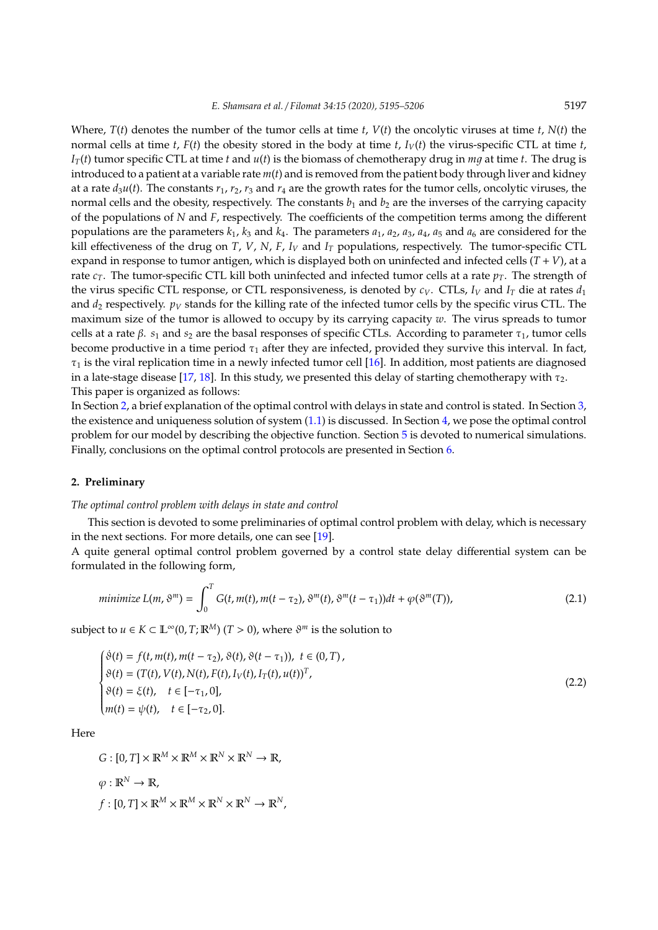Where, *T*(*t*) denotes the number of the tumor cells at time *t*, *V*(*t*) the oncolytic viruses at time *t*, *N*(*t*) the normal cells at time *t*,  $F(t)$  the obesity stored in the body at time *t*,  $I_V(t)$  the virus-specific CTL at time *t*,  $I_T(t)$  tumor specific CTL at time *t* and  $u(t)$  is the biomass of chemotherapy drug in *mq* at time *t*. The drug is introduced to a patient at a variable rate *m*(*t*) and is removed from the patient body through liver and kidney at a rate  $d_3u(t)$ . The constants  $r_1, r_2, r_3$  and  $r_4$  are the growth rates for the tumor cells, oncolytic viruses, the normal cells and the obesity, respectively. The constants  $b_1$  and  $b_2$  are the inverses of the carrying capacity of the populations of *N* and *F*, respectively. The coefficients of the competition terms among the different populations are the parameters  $k_1$ ,  $k_3$  and  $k_4$ . The parameters  $a_1$ ,  $a_2$ ,  $a_3$ ,  $a_4$ ,  $a_5$  and  $a_6$  are considered for the kill effectiveness of the drug on *T*, *V*, *N*, *F*, *I<sup>V</sup>* and *I<sup>T</sup>* populations, respectively. The tumor-specific CTL expand in response to tumor antigen, which is displayed both on uninfected and infected cells (*T* + *V*), at a rate  $c_T$ . The tumor-specific CTL kill both uninfected and infected tumor cells at a rate  $p_T$ . The strength of the virus specific CTL response, or CTL responsiveness, is denoted by  $c_V$ . CTLs,  $I_V$  and  $I_T$  die at rates  $d_1$ and  $d_2$  respectively.  $p_V$  stands for the killing rate of the infected tumor cells by the specific virus CTL. The maximum size of the tumor is allowed to occupy by its carrying capacity *w*. The virus spreads to tumor cells at a rate  $\beta$ .  $s_1$  and  $s_2$  are the basal responses of specific CTLs. According to parameter  $\tau_1$ , tumor cells become productive in a time period  $\tau_1$  after they are infected, provided they survive this interval. In fact,  $\tau_1$  is the viral replication time in a newly infected tumor cell [\[16\]](#page-11-12). In addition, most patients are diagnosed in a late-stage disease [\[17,](#page-11-13) [18\]](#page-11-14). In this study, we presented this delay of starting chemotherapy with  $\tau_2$ . This paper is organized as follows:

In Section [2,](#page-2-0) a brief explanation of the optimal control with delays in state and control is stated. In Section [3,](#page-4-0) the existence and uniqueness solution of system [\(1.1\)](#page-1-0) is discussed. In Section [4,](#page-5-0) we pose the optimal control problem for our model by describing the objective function. Section [5](#page-7-0) is devoted to numerical simulations. Finally, conclusions on the optimal control protocols are presented in Section [6.](#page-10-0)

## <span id="page-2-0"></span>**2. Preliminary**

## *The optimal control problem with delays in state and control*

This section is devoted to some preliminaries of optimal control problem with delay, which is necessary in the next sections. For more details, one can see [\[19\]](#page-11-15).

A quite general optimal control problem governed by a control state delay differential system can be formulated in the following form,

<span id="page-2-2"></span>
$$
\text{minimize } L(m, \vartheta^m) = \int_0^T G(t, m(t), m(t - \tau_2), \vartheta^m(t), \vartheta^m(t - \tau_1)) dt + \varphi(\vartheta^m(T)), \tag{2.1}
$$

subject to  $u \in K \subset \mathbb{L}^{\infty}(0,T;\mathbb{R}^{M})$   $(T > 0)$ , where  $\vartheta^{m}$  is the solution to

<span id="page-2-1"></span>
$$
\begin{cases}\n\dot{\vartheta}(t) = f(t, m(t), m(t - \tau_2), \vartheta(t), \vartheta(t - \tau_1)), \ t \in (0, T), \\
\vartheta(t) = (T(t), V(t), N(t), F(t), I_V(t), I_T(t), u(t))^T, \\
\vartheta(t) = \xi(t), \quad t \in [-\tau_1, 0], \\
m(t) = \psi(t), \quad t \in [-\tau_2, 0].\n\end{cases}
$$
\n(2.2)

Here

 $G: [0, T] \times \mathbb{R}^M \times \mathbb{R}^M \times \mathbb{R}^N \times \mathbb{R}^N \to \mathbb{R}$ ,  $\varphi: \mathbb{R}^N \to \mathbb{R}$ ,  $f: [0, T] \times \mathbb{R}^M \times \mathbb{R}^M \times \mathbb{R}^N \times \mathbb{R}^N \to \mathbb{R}^N$ ,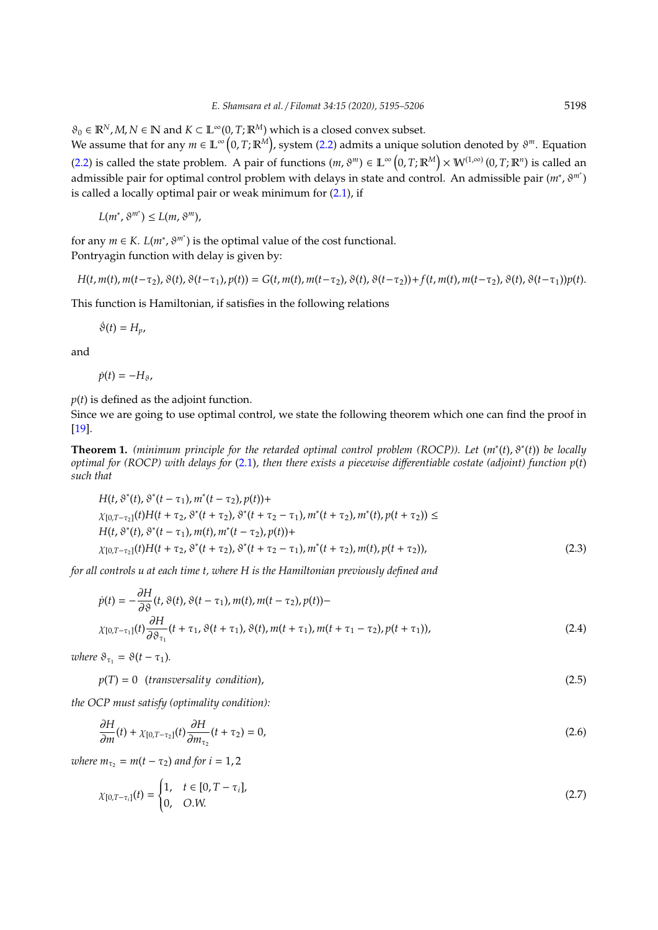$\vartheta_0 \in \mathbb{R}^N$ , *M*,  $N \in \mathbb{N}$  and  $K \subset \mathbb{L}^\infty(0, T; \mathbb{R}^M)$  which is a closed convex subset.

We assume that for any  $m \in \mathbb{L}^{\infty}\big(0,T;\mathbb{R}^M\big)$ , system [\(2.2\)](#page-2-1) admits a unique solution denoted by  $\vartheta^m$ . Equation [\(2.2\)](#page-2-1) is called the state problem. A pair of functions  $(m, \vartheta^m) \in \mathbb{L}^\infty(0,T;\mathbb{R}^M) \times \mathbb{W}^{(1,\infty)}(0,T;\mathbb{R}^n)$  is called an admissible pair for optimal control problem with delays in state and control. An admissible pair (*m*<sup>∗</sup> , ϑ*<sup>m</sup>*<sup>∗</sup> ) is called a locally optimal pair or weak minimum for  $(2.1)$ , if

$$
L(m^*,\vartheta^{m^*}) \le L(m,\vartheta^m),
$$

for any  $m \in K$ .  $L(m^*, \vartheta^{m^*})$  is the optimal value of the cost functional. Pontryagin function with delay is given by:

$$
H(t, m(t), m(t-\tau_2), \vartheta(t), \vartheta(t-\tau_1), p(t)) = G(t, m(t), m(t-\tau_2), \vartheta(t), \vartheta(t-\tau_2)) + f(t, m(t), m(t-\tau_2), \vartheta(t), \vartheta(t-\tau_1)) p(t).
$$

This function is Hamiltonian, if satisfies in the following relations

 $\dot{\vartheta}(t) = H_p$ ,

and

$$
\dot{p}(t)=-H_{\vartheta},
$$

*p*(*t*) is defined as the adjoint function.

Since we are going to use optimal control, we state the following theorem which one can find the proof in [\[19\]](#page-11-15).

**Theorem 1.** *(minimum principle for the retarded optimal control problem (ROCP)). Let* (*m*<sup>∗</sup> (*t*), ϑ<sup>∗</sup> (*t*)) *be locally optimal for (ROCP) with delays for* [\(2.1\)](#page-2-2)*, then there exists a piecewise di*ff*erentiable costate (adjoint) function p*(*t*) *such that*

$$
H(t, \vartheta^*(t), \vartheta^*(t-\tau_1), m^*(t-\tau_2), p(t)) +
$$
  
\n
$$
\chi_{[0,T-\tau_2]}(t)H(t+\tau_2, \vartheta^*(t+\tau_2), \vartheta^*(t+\tau_2-\tau_1), m^*(t+\tau_2), m^*(t), p(t+\tau_2)) \le
$$
  
\n
$$
H(t, \vartheta^*(t), \vartheta^*(t-\tau_1), m(t), m^*(t-\tau_2), p(t)) +
$$
  
\n
$$
\chi_{[0,T-\tau_2]}(t)H(t+\tau_2, \vartheta^*(t+\tau_2), \vartheta^*(t+\tau_2-\tau_1), m^*(t+\tau_2), m(t), p(t+\tau_2)),
$$
\n(2.3)

*for all controls u at each time t, where H is the Hamiltonian previously defined and*

$$
\dot{p}(t) = -\frac{\partial H}{\partial \vartheta}(t, \vartheta(t), \vartheta(t-\tau_1), m(t), m(t-\tau_2), p(t)) -
$$
\n
$$
\chi_{[0,T-\tau_1]}(t) \frac{\partial H}{\partial \vartheta_{\tau_1}}(t+\tau_1, \vartheta(t+\tau_1), \vartheta(t), m(t+\tau_1), m(t+\tau_1-\tau_2), p(t+\tau_1)),
$$
\n(2.4)

*where*  $\vartheta_{\tau_1} = \vartheta(t - \tau_1)$ *.* 

 $p(T) = 0$  (*transversality condition*), (2.5)

*the OCP must satisfy (optimality condition):*

$$
\frac{\partial H}{\partial m}(t) + \chi_{[0,T-\tau_2]}(t) \frac{\partial H}{\partial m_{\tau_2}}(t+\tau_2) = 0,
$$
\n(2.6)

*where*  $m_{\tau_2} = m(t - \tau_2)$  *and for*  $i = 1, 2$ 

$$
\chi_{[0,T-\tau_i]}(t) = \begin{cases} 1, & t \in [0,T-\tau_i], \\ 0, & O.W. \end{cases}
$$
 (2.7)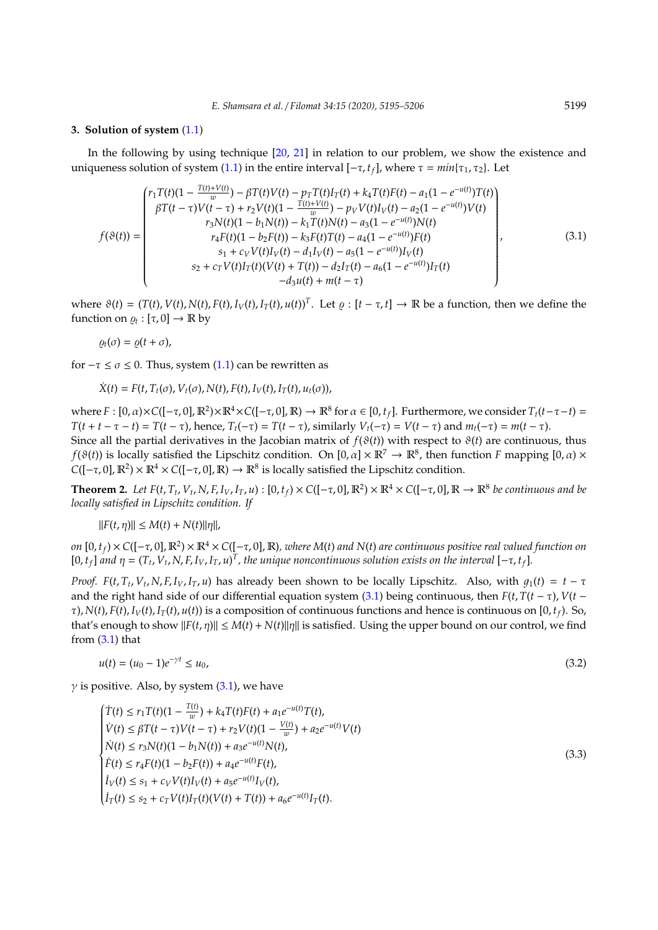#### <span id="page-4-0"></span>**3. Solution of system** [\(1.1\)](#page-1-0)

In the following by using technique [\[20,](#page-11-16) [21\]](#page-11-17) in relation to our problem, we show the existence and uniqueness solution of system [\(1.1\)](#page-1-0) in the entire interval  $[-\tau, t_f]$ , where  $\tau = min{\tau_1, \tau_2}$ . Let

<span id="page-4-1"></span>
$$
f(\vartheta(t)) = \begin{pmatrix} r_1T(t)(1 - \frac{T(t) + V(t)}{w}) - \beta T(t)V(t) - p_T T(t)I_T(t) + k_4T(t)F(t) - a_1(1 - e^{-u(t)})T(t) \\ \beta T(t - \tau)V(t - \tau) + r_2V(t)(1 - \frac{T(t) + V(t)}{w}) - p_V V(t)I_V(t) - a_2(1 - e^{-u(t)})V(t) \\ r_3N(t)(1 - b_1N(t)) - k_1T(t)N(t) - a_3(1 - e^{-u(t)})N(t) \\ r_4F(t)(1 - b_2F(t)) - k_3F(t)T(t) - a_4(1 - e^{-u(t)})F(t) \\ s_1 + c_V V(t)I_V(t) - d_1I_V(t) - a_5(1 - e^{-u(t)})I_V(t) \\ s_2 + c_TV(t)I_T(t)(V(t) + T(t)) - d_2I_T(t) - a_6(1 - e^{-u(t)})I_T(t) \\ -d_3u(t) + m(t - \tau) \end{pmatrix},
$$
\n(3.1)

where  $\vartheta(t) = (T(t), V(t), N(t), F(t), I_V(t), I_T(t), u(t))^T$ . Let  $\varrho : [t - \tau, t] \to \mathbb{R}$  be a function, then we define the function on  $\varrho_t : [\tau, 0] \to \mathbb{R}$  by

$$
\varrho_t(\sigma)=\varrho(t+\sigma),
$$

for  $-\tau \le \sigma \le 0$ . Thus, system [\(1.1\)](#page-1-0) can be rewritten as

$$
\dot{X}(t) = F(t, T_t(\sigma), V_t(\sigma), N(t), F(t), I_V(t), I_T(t), u_t(\sigma)),
$$

where  $F : [0, \alpha) \times C([- \tau, 0], \mathbb{R}^2) \times \mathbb{R}^4 \times C([- \tau, 0], \mathbb{R}) \to \mathbb{R}^8$  for  $\alpha \in [0, t_f]$ . Furthermore, we consider  $T_t(t - \tau - t) =$  $T(t + t - \tau - t) = T(t - \tau)$ , hence,  $T_t(-\tau) = T(t - \tau)$ , similarly  $V_t(-\tau) = V(t - \tau)$  and  $m_t(-\tau) = m(t - \tau)$ . Since all the partial derivatives in the Jacobian matrix of  $f(\vartheta(t))$  with respect to  $\vartheta(t)$  are continuous, thus *f*( $\vartheta$ (*t*)) is locally satisfied the Lipschitz condition. On  $[0, \alpha] \times \mathbb{R}^7 \to \mathbb{R}^8$ , then function *F* mapping  $[0, \alpha) \times$  $C([- \tau, 0], \mathbb{R}^2) \times \mathbb{R}^4 \times C([- \tau, 0], \mathbb{R}) \to \mathbb{R}^8$  is locally satisfied the Lipschitz condition.

**Theorem 2.** Let  $F(t, T_t, V_t, N, F, I_V, I_T, u) : [0, t_f) \times C([- \tau, 0], \mathbb{R}^2) \times \mathbb{R}^4 \times C([- \tau, 0], \mathbb{R} \to \mathbb{R}^8$  be continuous and be *locally satisfied in Lipschitz condition. If*

 $||F(t, \eta)|| \le M(t) + N(t) ||\eta||$ ,

 $\rho$  (0,  $t_f$ )  $\times$  C([−τ, 0],  $\mathbb{R}^2$ )  $\times$   $\mathbb{R}^4$   $\times$  C([−τ, 0],  $\mathbb{R}$ ), where M(t) and N(t) are continuous positive real valued function on [0,  $t_f$ ] and  $\eta = (T_t, V_t, N, F, I_V, I_T, u)^T$ , the unique noncontinuous solution exists on the interval  $[-\tau, t_f]$ .

*Proof.*  $F(t, T_t, V_t, N, F, I_V, I_T, u)$  has already been shown to be locally Lipschitz. Also, with  $g_1(t) = t - \tau$ and the right hand side of our differential equation system [\(3.1\)](#page-4-1) being continuous, then  $F(t, T(t - \tau), V(t - \tau))$  $τ$ ), *N*(*t*), *F*(*t*), *I<sub>V</sub>*(*t*), *I<sub>T</sub>*(*t*), *u*(*t*)) is a composition of continuous functions and hence is continuous on [0, *t*<sub>*t*</sub>). So, that's enough to show  $||F(t, \eta)|| \le M(t) + N(t) ||\eta||$  is satisfied. Using the upper bound on our control, we find from  $(3.1)$  that

<span id="page-4-2"></span>
$$
u(t) = (u_0 - 1)e^{-\gamma t} \le u_0,\tag{3.2}
$$

 $\gamma$  is positive. Also, by system [\(3.1\)](#page-4-1), we have

<span id="page-4-3"></span>
$$
\begin{cases}\nT(t) \le r_1 T(t)(1 - \frac{T(t)}{w}) + k_4 T(t)F(t) + a_1 e^{-u(t)}T(t), \\
\dot{V}(t) \le \beta T(t - \tau)V(t - \tau) + r_2 V(t)(1 - \frac{V(t)}{w}) + a_2 e^{-u(t)}V(t) \\
\dot{N}(t) \le r_3 N(t)(1 - b_1 N(t)) + a_3 e^{-u(t)} N(t), \\
\dot{F}(t) \le r_4 F(t)(1 - b_2 F(t)) + a_4 e^{-u(t)}F(t), \\
\dot{I}_V(t) \le s_1 + c_V V(t)I_V(t) + a_5 e^{-u(t)}I_V(t), \\
\dot{I}_T(t) \le s_2 + c_T V(t)I_T(t)(V(t) + T(t)) + a_6 e^{-u(t)}I_T(t).\n\end{cases} \tag{3.3}
$$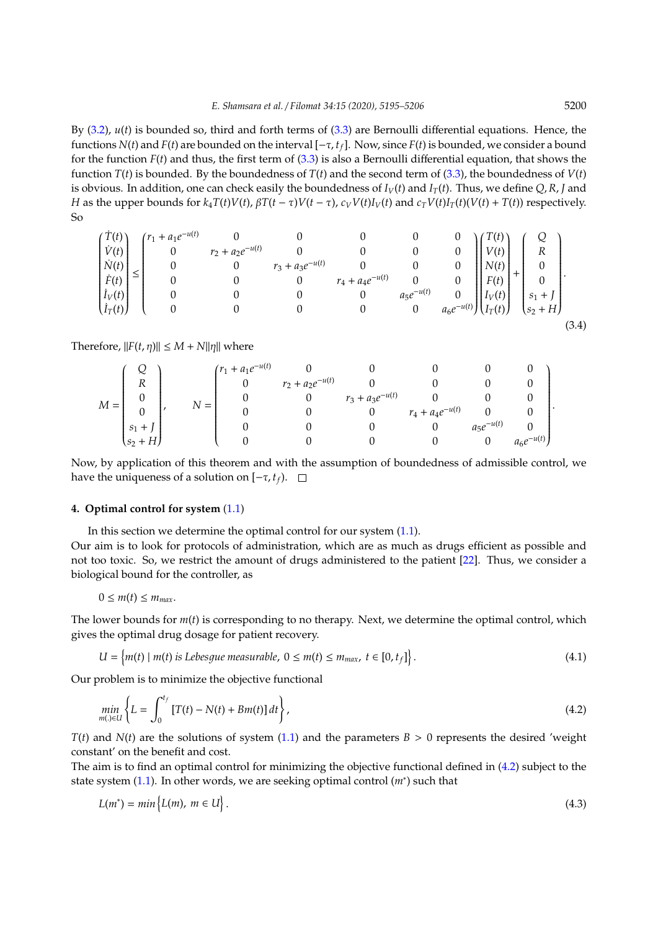By [\(3.2\)](#page-4-2), *u*(*t*) is bounded so, third and forth terms of [\(3.3\)](#page-4-3) are Bernoulli differential equations. Hence, the functions *N*(*t*) and *F*(*t*) are bounded on the interval [−τ, *tf*]. Now, since *F*(*t*) is bounded, we consider a bound for the function *F*(*t*) and thus, the first term of [\(3.3\)](#page-4-3) is also a Bernoulli differential equation, that shows the function  $T(t)$  is bounded. By the boundedness of  $T(t)$  and the second term of [\(3.3\)](#page-4-3), the boundedness of  $V(t)$ is obvious. In addition, one can check easily the boundedness of  $I_V(t)$  and  $I_T(t)$ . Thus, we define  $Q, R, I$  and *H* as the upper bounds for  $k_4T(t)V(t)$ ,  $\beta T(t-\tau)V(t-\tau)$ ,  $c_VV(t)I_V(t)$  and  $c_TV(t)I_T(t)(V(t)+T(t))$  respectively. So

$$
\begin{pmatrix} \dot{T}(t) \\ \dot{V}(t) \\ \dot{N}(t) \\ \dot{F}(t) \\ \dot{I}_V(t) \\ \dot{I}_T(t) \end{pmatrix} \leq \begin{pmatrix} r_1 + a_1 e^{-u(t)} & 0 & 0 & 0 & 0 & 0 & 0 \\ 0 & r_2 + a_2 e^{-u(t)} & 0 & 0 & 0 & 0 \\ 0 & 0 & r_3 + a_3 e^{-u(t)} & 0 & 0 & 0 \\ 0 & 0 & 0 & r_4 + a_4 e^{-u(t)} & 0 & 0 \\ 0 & 0 & 0 & 0 & a_5 e^{-u(t)} & 0 \\ 0 & 0 & 0 & 0 & 0 & a_6 e^{-u(t)} \end{pmatrix} \begin{pmatrix} T(t) \\ V(t) \\ N(t) \\ F(t) \\ \dot{I}_V(t) \\ \dot{I}_T(t) \end{pmatrix} + \begin{pmatrix} Q \\ R \\ 0 \\ 0 \\ \dot{S}_1 + J \\ \dot{S}_2 + H \end{pmatrix} . \tag{3.4}
$$

Therefore,  $||F(t, \eta)|| \leq M + N||\eta||$  where

| $M =$ |             | $\equiv$ | $(r_1 + a_1e^{-u(t)})$ |                      |                      |                       |                |                |
|-------|-------------|----------|------------------------|----------------------|----------------------|-----------------------|----------------|----------------|
|       | ת           |          |                        | $r_2 + a_2e^{-u(t)}$ |                      |                       |                |                |
|       |             |          |                        |                      | $r_3 + a_3e^{-u(t)}$ |                       |                |                |
|       |             |          |                        |                      |                      | $r_4 + a_4 e^{-u(t)}$ |                |                |
|       |             |          |                        |                      |                      |                       | $a_5e^{-u(t)}$ |                |
|       | $(s_2 + H)$ |          |                        |                      |                      |                       |                | $a_6e^{-u(t)}$ |

Now, by application of this theorem and with the assumption of boundedness of admissible control, we have the uniqueness of a solution on  $[-τ, t<sub>f</sub>)$ . □

## <span id="page-5-0"></span>**4. Optimal control for system** [\(1.1\)](#page-1-0)

In this section we determine the optimal control for our system [\(1.1\)](#page-1-0).

Our aim is to look for protocols of administration, which are as much as drugs efficient as possible and not too toxic. So, we restrict the amount of drugs administered to the patient [\[22\]](#page-11-18). Thus, we consider a biological bound for the controller, as

$$
0\leq m(t)\leq m_{max}.
$$

The lower bounds for *m*(*t*) is corresponding to no therapy. Next, we determine the optimal control, which gives the optimal drug dosage for patient recovery.

$$
U = \{m(t) \mid m(t) \text{ is Lebesgue measurable, } 0 \le m(t) \le m_{max}, t \in [0, t_f] \}.
$$
\n
$$
(4.1)
$$

<span id="page-5-1"></span>o

Our problem is to minimize the objective functional

$$
\min_{m\left(\cdot\right)\in U}\left\{L=\int_{0}^{t_{f}}\left[T(t)-N(t)+Bm(t)\right]dt\right\},\tag{4.2}
$$

*T*(*t*) and *N*(*t*) are the solutions of system [\(1.1\)](#page-1-0) and the parameters  $B > 0$  represents the desired 'weight constant' on the benefit and cost.

The aim is to find an optimal control for minimizing the objective functional defined in [\(4.2\)](#page-5-1) subject to the state system [\(1.1\)](#page-1-0). In other words, we are seeking optimal control (*m*<sup>∗</sup>) such that

$$
L(m^*) = \min \left\{ L(m), \ m \in U \right\}.
$$
\n
$$
(4.3)
$$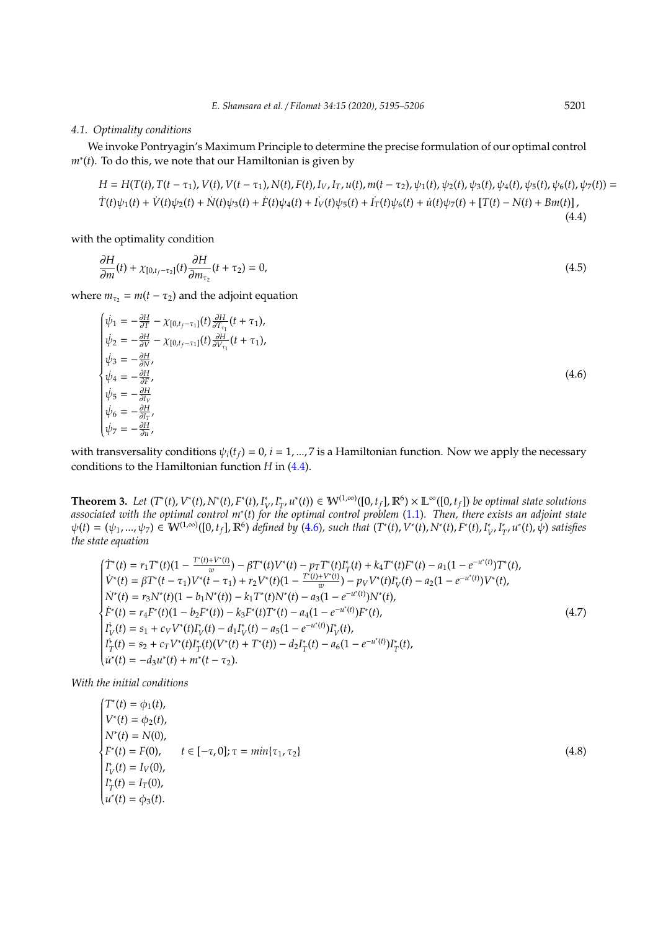#### *4.1. Optimality conditions*

We invoke Pontryagin's Maximum Principle to determine the precise formulation of our optimal control *m*∗ (*t*). To do this, we note that our Hamiltonian is given by

$$
H = H(T(t), T(t - \tau_1), V(t), V(t - \tau_1), N(t), F(t), I_V, I_T, u(t), m(t - \tau_2), \psi_1(t), \psi_2(t), \psi_3(t), \psi_4(t), \psi_5(t), \psi_6(t), \psi_7(t)) =
$$
  
\n
$$
\dot{T}(t)\psi_1(t) + \dot{V}(t)\psi_2(t) + \dot{N}(t)\psi_3(t) + \dot{F}(t)\psi_4(t) + I_V(t)\psi_5(t) + I_T(t)\psi_6(t) + \dot{u}(t)\psi_7(t) + [T(t) - N(t) + Bm(t)],
$$
\n(4.4)

with the optimality condition

$$
\frac{\partial H}{\partial m}(t) + \chi_{[0,t_f-\tau_2]}(t)\frac{\partial H}{\partial m_{\tau_2}}(t+\tau_2) = 0,
$$
\n(4.5)

where  $m_{\tau_2} = m(t - \tau_2)$  and the adjoint equation

$$
\begin{cases}\n\dot{\psi}_1 = -\frac{\partial H}{\partial T} - \chi_{[0,t_f-\tau_1]}(t) \frac{\partial H}{\partial T_{\tau_1}}(t+\tau_1), \\
\dot{\psi}_2 = -\frac{\partial H}{\partial V} - \chi_{[0,t_f-\tau_1]}(t) \frac{\partial H}{\partial V_{\tau_1}}(t+\tau_1), \\
\dot{\psi}_3 = -\frac{\partial H}{\partial N}, \\
\dot{\psi}_4 = -\frac{\partial H}{\partial F}, \\
\dot{\psi}_5 = -\frac{\partial H}{\partial V}, \\
\dot{\psi}_6 = -\frac{\partial H}{\partial T_{\tau}}, \\
\dot{\psi}_7 = -\frac{\partial H}{\partial u},\n\end{cases}
$$
\n(4.6)

with transversality conditions  $\psi_i(t_f) = 0$ ,  $i = 1, ..., 7$  is a Hamiltonian function. Now we apply the necessary conditions to the Hamiltonian function *H* in [\(4.4\)](#page-6-0).

**Theorem 3.** *Let*  $(T^*(t), V^*(t), N^*(t), F^*(t), I^*_t)$ ∗, *I*<sup>\*</sup><sub>1</sub>  $T$ <sup>*r*</sup>,  $u^*(t)$ ) ∈ **W**<sup>(1,∞)</sup>([0, *t<sub>f</sub>*], **R**<sup>6</sup>) × **L**<sup>∞</sup>([0, *t<sub>f</sub>*]) *be optimal state solutions associated with the optimal control m*<sup>∗</sup> (*t*) *for the optimal control problem* [\(1.1\)](#page-1-0)*. Then, there exists an adjoint state*  $\psi(t) = (\psi_1, ..., \psi_7) \in W^{(1,\infty)}([0, t_f], \mathbb{R}^6)$  defined by [\(4.6\)](#page-6-1), such that  $(T^*(t), V^*(t), N^*(t), F^*(t), I^*_0)$ ∗<br>*V*<sup>, *I*<sub>1</sub></sup>  $T$ <sup>*x*</sup>, *u*<sup>\*</sup>(*t*),  $\psi$ ) *satisfies the state equation*

$$
\begin{cases}\n\dot{T}^*(t) = r_1 T^*(t)(1 - \frac{T^*(t) + V^*(t)}{w}) - \beta T^*(t)V^*(t) - p_T T^*(t)I_T^*(t) + k_4 T^*(t)F^*(t) - a_1(1 - e^{-u^*(t)})T^*(t), \\
\dot{V}^*(t) = \beta T^*(t - \tau_1)V^*(t - \tau_1) + r_2 V^*(t)(1 - \frac{T^*(t) + V^*(t)}{w}) - p_V V^*(t)I_V^*(t) - a_2(1 - e^{-u^*(t)})V^*(t), \\
\dot{N}^*(t) = r_3 N^*(t)(1 - b_1 N^*(t)) - k_1 T^*(t)N^*(t) - a_3(1 - e^{-u^*(t)})N^*(t), \\
\dot{F}^*(t) = r_4 F^*(t)(1 - b_2 F^*(t)) - k_3 F^*(t)T^*(t) - a_4(1 - e^{-u^*(t)})F^*(t), \\
\dot{I}_V^*(t) = s_1 + c_V V^*(t)I_V^*(t) - d_1 I_V^*(t) - a_5(1 - e^{-u^*(t)})I_V^*(t), \\
\dot{I}_T^*(t) = s_2 + c_T V^*(t)I_T^*(t)(V^*(t) + T^*(t)) - d_2 I_T^*(t) - a_6(1 - e^{-u^*(t)})I_T^*(t), \\
\dot{u}^*(t) = -d_3 u^*(t) + m^*(t - \tau_2).\n\end{cases} \tag{4.7}
$$

*With the initial conditions*

$$
\begin{cases}\nT^*(t) = \phi_1(t), \\
V^*(t) = \phi_2(t), \\
N^*(t) = N(0), \\
F^*(t) = F(0), \qquad t \in [-\tau, 0]; \tau = \min\{\tau_1, \tau_2\} \\
I_V^*(t) = I_V(0), \\
I_T^*(t) = I_T(0), \\
u^*(t) = \phi_3(t).\n\end{cases} \tag{4.8}
$$

<span id="page-6-2"></span><span id="page-6-1"></span><span id="page-6-0"></span>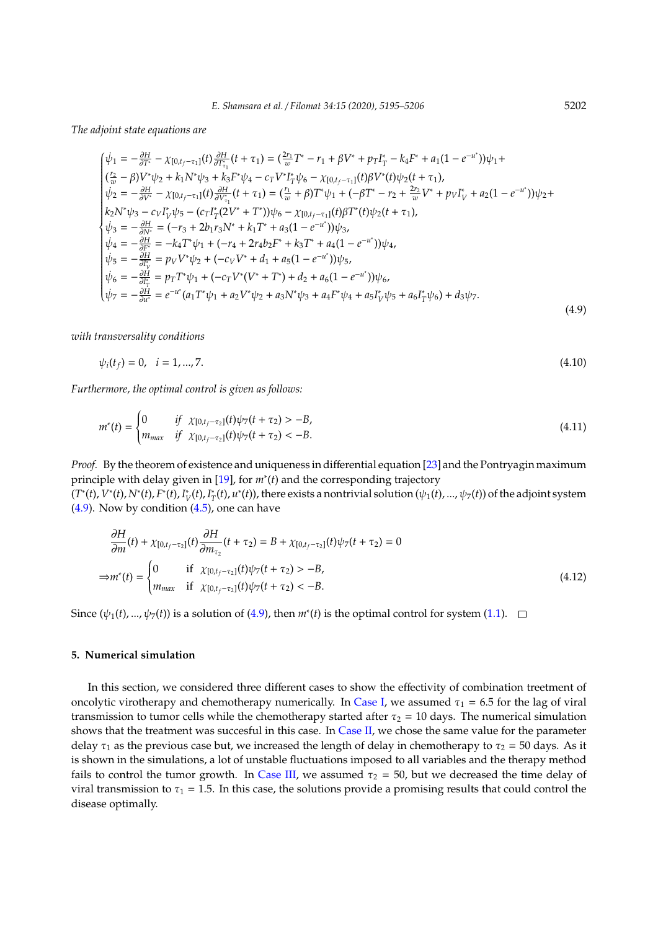*The adjoint state equations are*

$$
\begin{cases}\n\dot{\psi}_{1} = -\frac{\partial H}{\partial T^{*}} - \chi_{[0,t_{f}-\tau_{1}]}(t) \frac{\partial H}{\partial T^{*}_{\tau_{1}}}(t+\tau_{1}) = \left(\frac{2r_{1}}{w}T^{*}-r_{1}+\beta V^{*}+p_{T}I^{*}_{T}-k_{4}F^{*}+a_{1}(1-e^{-u^{*}})\right)\psi_{1} + \\
\left(\frac{r_{2}}{w}-\beta V^{*}\psi_{2}+k_{1}N^{*}\psi_{3}+k_{3}F^{*}\psi_{4}-c_{T}V^{*}I^{*}_{T}\psi_{6}-\chi_{[0,t_{f}-\tau_{1}]}(t)\beta V^{*}(t)\psi_{2}(t+\tau_{1}),\right. \\
\dot{\psi}_{2} = -\frac{\partial H}{\partial V^{*}} - \chi_{[0,t_{f}-\tau_{1}]}(t)\frac{\partial H}{\partial V^{*}_{\tau_{1}}}(t+\tau_{1}) = \left(\frac{r_{1}}{w}+\beta\right)T^{*}\psi_{1} + \left(-\beta T^{*}-r_{2}+\frac{2r_{2}}{w}V^{*}+p_{V}I^{*}_{V}+a_{2}(1-e^{-u^{*}})\right)\psi_{2} + \\
k_{2}N^{*}\psi_{3} - c_{V}I^{*}_{V}\psi_{5} - (c_{T}I^{*}_{T}(2V^{*}+T^{*}))\psi_{6} - \chi_{[0,t_{f}-\tau_{1}]}(t)\beta T^{*}(t)\psi_{2}(t+\tau_{1}),\right. \\
\dot{\psi}_{3} = -\frac{\partial H}{\partial N^{*}} = (-r_{3}+2b_{1}r_{3}N^{*}+k_{1}T^{*}+a_{3}(1-e^{-u^{*}}))\psi_{3}, \\
\dot{\psi}_{4} = -\frac{\partial H}{\partial F^{*}} = -k_{4}T^{*}\psi_{1} + (-r_{4}+2r_{4}b_{2}F^{*}+k_{3}T^{*}+a_{4}(1-e^{-u^{*}}))\psi_{4}, \\
\dot{\psi}_{5} = -\frac{\partial H}{\partial I^{*}_{V}} = p_{V}V^{*}\psi_{2} + (-c_{V}V^{*}+d_{1}+a_{5}(1-e^{-u^{*}}))\psi_{5}, \\
\dot{\psi}_{6} = -\frac{\partial H}{\partial I^{*}_{V}} = p_{T}T^{*}\psi_{1} + (-c_{T}V^{*}(V^{*}+
$$

*with transversality conditions*

<span id="page-7-1"></span>
$$
\psi_i(t_f) = 0, \quad i = 1, \dots, 7. \tag{4.10}
$$

*Furthermore, the optimal control is given as follows:*

$$
m^*(t) = \begin{cases} 0 & \text{if } \chi_{[0,t_f-\tau_2]}(t)\psi_7(t+\tau_2) > -B, \\ m_{max} & \text{if } \chi_{[0,t_f-\tau_2]}(t)\psi_7(t+\tau_2) < -B. \end{cases}
$$
(4.11)

*Proof.* By the theorem of existence and uniqueness in differential equation [\[23\]](#page-11-19) and the Pontryagin maximum principle with delay given in [\[19\]](#page-11-15), for *m*<sup>∗</sup> (*t*) and the corresponding trajectory

(*T* ∗ (*t*), *V* ∗ (*t*), *N*<sup>∗</sup> (*t*), *F* ∗ (*t*), *I* ∗ *V* (*t*), *I* ∗  $T(T(T), u^*(t))$ , there exists a nontrivial solution  $(\psi_1(t), ..., \psi_7(t))$  of the adjoint system  $(4.9)$ . Now by condition  $(4.5)$ , one can have

$$
\frac{\partial H}{\partial m}(t) + \chi_{[0,t_f-\tau_2]}(t) \frac{\partial H}{\partial m_{\tau_2}}(t+\tau_2) = B + \chi_{[0,t_f-\tau_2]}(t)\psi_7(t+\tau_2) = 0
$$
\n
$$
\Rightarrow m^*(t) = \begin{cases} 0 & \text{if } \chi_{[0,t_f-\tau_2]}(t)\psi_7(t+\tau_2) > -B, \\ m_{max} & \text{if } \chi_{[0,t_f-\tau_2]}(t)\psi_7(t+\tau_2) < -B. \end{cases} \tag{4.12}
$$

Since  $(\psi_1(t), ..., \psi_7(t))$  is a solution of [\(4.9\)](#page-7-1), then  $m^*(t)$  is the optimal control for system [\(1.1\)](#page-1-0).

## <span id="page-7-0"></span>**5. Numerical simulation**

In this section, we considered three different cases to show the effectivity of combination treetment of oncolytic virotherapy and chemotherapy numerically. In [Case I,](#page-8-0) we assumed  $\tau_1 = 6.5$  for the lag of viral transmission to tumor cells while the chemotherapy started after  $\tau_2 = 10$  days. The numerical simulation shows that the treatment was succesful in this case. In [Case II,](#page-9-0) we chose the same value for the parameter delay  $\tau_1$  as the previous case but, we increased the length of delay in chemotherapy to  $\tau_2 = 50$  days. As it is shown in the simulations, a lot of unstable fluctuations imposed to all variables and the therapy method fails to control the tumor growth. In [Case III,](#page-9-1) we assumed  $\tau_2 = 50$ , but we decreased the time delay of viral transmission to  $\tau_1$  = 1.5. In this case, the solutions provide a promising results that could control the disease optimally.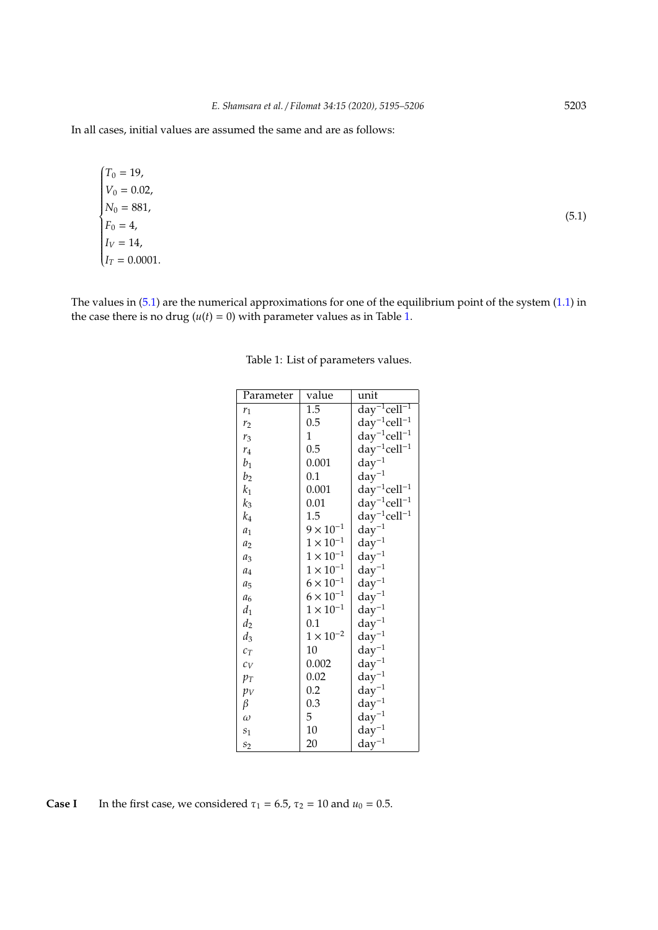In all cases, initial values are assumed the same and are as follows:

 $T_0 = 19$ ,  $\sqrt{\frac{1}{1-\frac{1}{1-\frac{1}{1-\frac{1}{1-\frac{1}{1-\frac{1}{1-\frac{1}{1-\frac{1}{1-\frac{1}{1-\frac{1}{1-\frac{1}{1-\frac{1}{1-\frac{1}{1-\frac{1}{1-\frac{1}{1-\frac{1}{1-\frac{1}{1-\frac{1}{1-\frac{1}{1-\frac{1}{1-\frac{1}{1-\frac{1}{1-\frac{1}{1-\frac{1}{1-\frac{1}{1-\frac{1}{1-\frac{1}{1-\frac{1}{1-\frac{1}{1-\frac{1}{1-\frac{1}{1-\frac{1}{1-\frac{1}{1-\frac{1}{1-\frac{1}{1-\frac{1}{1-\frac$   $V_0 = 0.02$ ,  $N_0 = 881,$  $F_0 = 4,$  $I_V = 14$ ,  $I_T = 0.0001$ .

<span id="page-8-2"></span>The values in  $(5.1)$  are the numerical approximations for one of the equilibrium point of the system  $(1.1)$  in the case there is no drug  $(u(t) = 0)$  with parameter values as in Table [1.](#page-8-2)

| Parameter      | value              | unit                                     |
|----------------|--------------------|------------------------------------------|
| $r_1$          | 1.5                | $d\overline{ay}^{-1}$ cell <sup>-1</sup> |
| r <sub>2</sub> | 0.5                | $day^{-1}cell^{-1}$                      |
| $r_3$          | 1                  | $day^{-1}cell^{-1}$                      |
| $r_4$          | 0.5                | $day^{-1}cell^{-1}$                      |
| $b_1$          | 0.001              | $day^{-1}$                               |
| b <sub>2</sub> | 0.1                | $day^{-1}$                               |
| $k_1$          | 0.001              | $day^{-1}cell^{-1}$                      |
| $k_3$          | 0.01               | $day^{-1}cell^{-1}$                      |
| $k_{4}$        | 1.5                | $day^{-1}cell^{-1}$                      |
| $a_1$          | $9 \times 10^{-1}$ | $day^{-1}$                               |
| $a_2$          | $1 \times 10^{-1}$ | $day^{-1}$                               |
| $a_3$          | $1 \times 10^{-1}$ | $day^{-1}$                               |
| $a_4$          | $1 \times 10^{-1}$ | $day^{-1}$                               |
| $a_5$          | $6 \times 10^{-1}$ | $day^{-1}$                               |
| a <sub>6</sub> | $6 \times 10^{-1}$ | $day^{-1}$                               |
| $d_1$          | $1 \times 10^{-1}$ | $day^{-1}$                               |
| $d_2$          | 0.1                | $day^{-1}$                               |
| $d_3$          | $1 \times 10^{-2}$ | $day^{-1}$                               |
| $c_T$          | 10                 | $day^{-1}$                               |
| $c_V$          | 0.002              | $day^{-1}$                               |
| $p_T$          | 0.02               | $day^{-1}$                               |
| $p_V$          | 0.2                | $day^{-1}$                               |
| β              | 0.3                | $\rm day^{-1}$                           |
| $\omega$       | 5                  | $day^{-1}$                               |
| $s_1$          | 10                 | $day^{-1}$                               |
| s <sub>2</sub> | 20                 | $day^{-1}$                               |
|                |                    |                                          |

Table 1: List of parameters values.

<span id="page-8-0"></span>**Case I** In the first case, we considered  $\tau_1 = 6.5$ ,  $\tau_2 = 10$  and  $u_0 = 0.5$ .

<span id="page-8-1"></span>(5.1)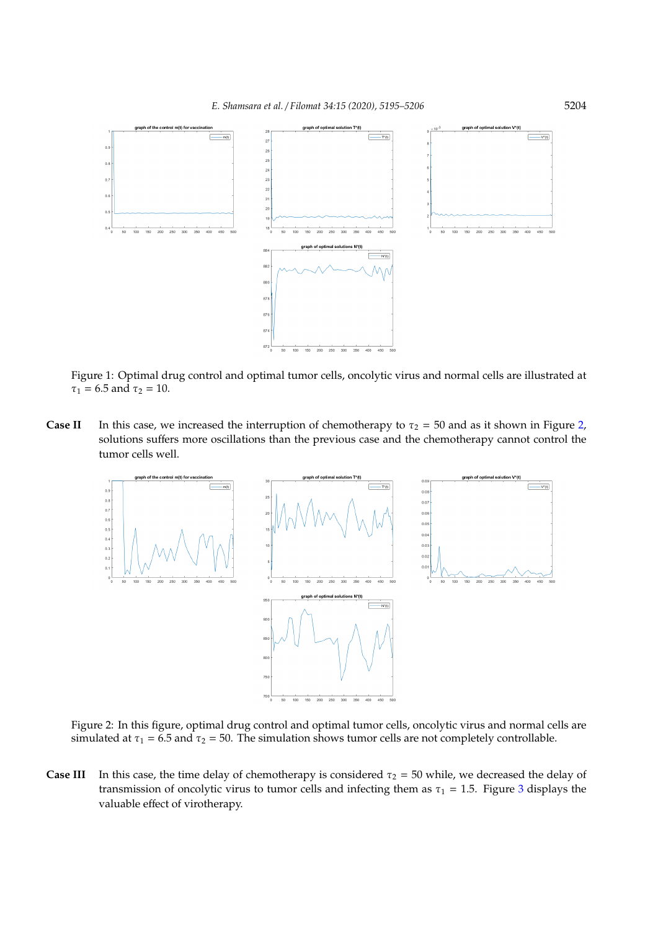

Figure 1: Optimal drug control and optimal tumor cells, oncolytic virus and normal cells are illustrated at  $\tau_1 = 6.5$  and  $\tau_2 = 10$ .

<span id="page-9-0"></span>**Case II** In this case, we increased the interruption of chemotherapy to  $\tau_2 = 50$  and as it shown in Figure [2,](#page-9-2) solutions suffers more oscillations than the previous case and the chemotherapy cannot control the tumor cells well.

<span id="page-9-2"></span>

Figure 2: In this figure, optimal drug control and optimal tumor cells, oncolytic virus and normal cells are simulated at  $\tau_1 = 6.5$  and  $\tau_2 = 50$ . The simulation shows tumor cells are not completely controllable.

<span id="page-9-1"></span>**Case III** In this case, the time delay of chemotherapy is considered  $\tau_2 = 50$  while, we decreased the delay of transmission of oncolytic virus to tumor cells and infecting them as  $\tau_1 = 1.5$ . Figure [3](#page-10-1) displays the valuable effect of virotherapy.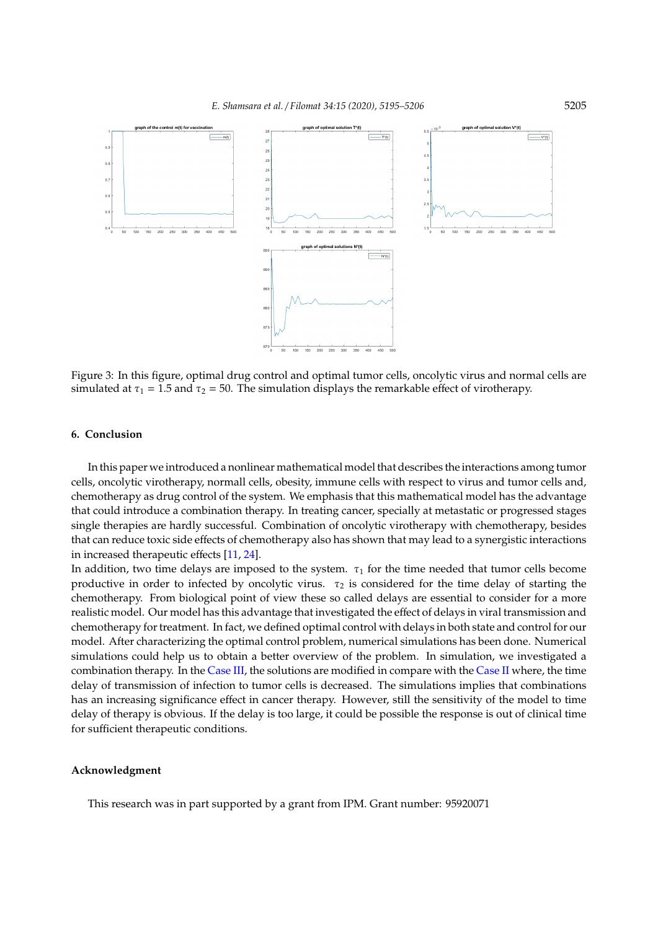<span id="page-10-1"></span>

Figure 3: In this figure, optimal drug control and optimal tumor cells, oncolytic virus and normal cells are simulated at  $\tau_1 = 1.5$  and  $\tau_2 = 50$ . The simulation displays the remarkable effect of virotherapy.

## <span id="page-10-0"></span>**6. Conclusion**

In this paper we introduced a nonlinear mathematical model that describes the interactions among tumor cells, oncolytic virotherapy, normall cells, obesity, immune cells with respect to virus and tumor cells and, chemotherapy as drug control of the system. We emphasis that this mathematical model has the advantage that could introduce a combination therapy. In treating cancer, specially at metastatic or progressed stages single therapies are hardly successful. Combination of oncolytic virotherapy with chemotherapy, besides that can reduce toxic side effects of chemotherapy also has shown that may lead to a synergistic interactions in increased therapeutic effects [\[11,](#page-11-10) [24\]](#page-11-20).

In addition, two time delays are imposed to the system.  $\tau_1$  for the time needed that tumor cells become productive in order to infected by oncolytic virus.  $\tau_2$  is considered for the time delay of starting the chemotherapy. From biological point of view these so called delays are essential to consider for a more realistic model. Our model has this advantage that investigated the effect of delays in viral transmission and chemotherapy for treatment. In fact, we defined optimal control with delays in both state and control for our model. After characterizing the optimal control problem, numerical simulations has been done. Numerical simulations could help us to obtain a better overview of the problem. In simulation, we investigated a combination therapy. In the [Case III,](#page-9-1) the solutions are modified in compare with the [Case II](#page-9-0) where, the time delay of transmission of infection to tumor cells is decreased. The simulations implies that combinations has an increasing significance effect in cancer therapy. However, still the sensitivity of the model to time delay of therapy is obvious. If the delay is too large, it could be possible the response is out of clinical time for sufficient therapeutic conditions.

#### **Acknowledgment**

This research was in part supported by a grant from IPM. Grant number: 95920071